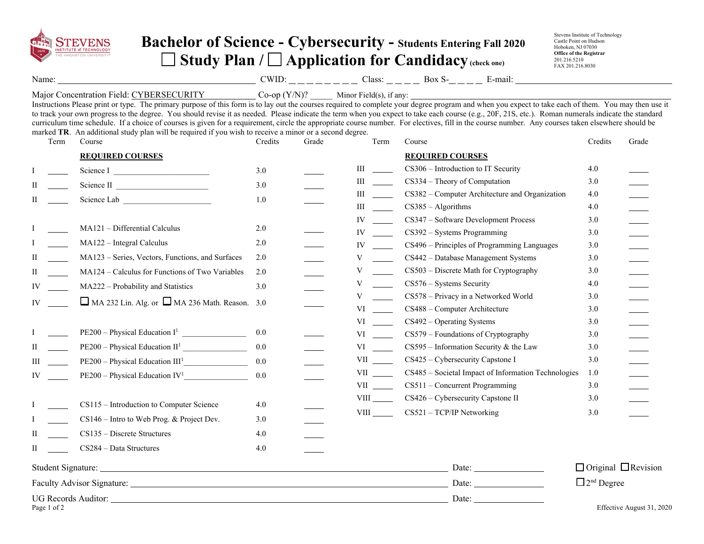

## **Bachelor of Science - Cybersecurity - Students Entering Fall 2020 Study Plan / Application for Candidacy (check one)**

Stevens Institute of Technology Castle Point on Hudson Hoboken, NJ 07030 **Office of the Registrar**  201.216.5210 FAX 201.216.8030

Name: Solution COMPUNE COMPUTE: Class: Box S- E-mail:

Major Concentration Field: CYBERSECURITY \_\_\_\_\_\_\_\_\_\_\_ Co-op (Y/N)? \_\_\_\_\_ Minor Field(s), if any:

Instructions Please print or type. The primary purpose of this form is to lay out the courses required to complete your degree program and when you expect to take each of them. You may then use it to track your own progress to the degree. You should revise it as needed. Please indicate the term when you expect to take each course (e.g., 20F, 21S, etc.). Roman numerals indicate the standard curriculum time schedule. If a choice of courses is given for a requirement, circle the appropriate course number. For electives, fill in the course number. Any courses taken elsewhere should be marked **TR**. An additional study plan will be required if you wish to receive a minor or a second degree.

|     | Term        | Course                                                     | Credits | Grade | Term                                                                                                                                                                                                                           | Course                                                                      | Credits                         | Grade                     |
|-----|-------------|------------------------------------------------------------|---------|-------|--------------------------------------------------------------------------------------------------------------------------------------------------------------------------------------------------------------------------------|-----------------------------------------------------------------------------|---------------------------------|---------------------------|
|     |             | <b>REQUIRED COURSES</b>                                    |         |       |                                                                                                                                                                                                                                | <b>REQUIRED COURSES</b>                                                     |                                 |                           |
|     |             | Science I                                                  | 3.0     |       | Ш                                                                                                                                                                                                                              | CS306 - Introduction to IT Security                                         | 4.0                             |                           |
| H   |             |                                                            | 3.0     |       | Ш                                                                                                                                                                                                                              | CS334 – Theory of Computation                                               | 3.0                             |                           |
| П   |             | Science Lab                                                | $1.0\,$ |       | Ш                                                                                                                                                                                                                              | CS382 – Computer Architecture and Organization                              | 4.0                             |                           |
|     |             |                                                            |         |       | Ш                                                                                                                                                                                                                              | $CS385 - Algorithms$                                                        | 4.0                             |                           |
|     |             |                                                            |         |       | IV                                                                                                                                                                                                                             | CS347 - Software Development Process                                        | 3.0                             |                           |
|     |             | MA121 - Differential Calculus                              | 2.0     |       | IV                                                                                                                                                                                                                             | $CS392 - Systems Programming$                                               | 3.0                             |                           |
|     |             | MA122 - Integral Calculus                                  | $2.0$   |       | IV                                                                                                                                                                                                                             | CS496 – Principles of Programming Languages                                 | 3.0                             |                           |
| П   |             | MA123 - Series, Vectors, Functions, and Surfaces           | 2.0     |       | V                                                                                                                                                                                                                              | CS442 - Database Management Systems                                         | 3.0                             |                           |
| П   |             | MA124 - Calculus for Functions of Two Variables            | 2.0     |       | V                                                                                                                                                                                                                              | CS503 - Discrete Math for Cryptography                                      | 3.0                             |                           |
| IV  |             | MA222 - Probability and Statistics                         | 3.0     |       | V                                                                                                                                                                                                                              | $CS576 - Systems Security$                                                  | 4.0                             |                           |
| IV  |             | $\Box$ MA 232 Lin. Alg. or $\Box$ MA 236 Math. Reason. 3.0 |         |       | V                                                                                                                                                                                                                              | CS578 - Privacy in a Networked World                                        | 3.0                             |                           |
|     |             |                                                            |         |       | VI                                                                                                                                                                                                                             | CS488 - Computer Architecture                                               | 3.0                             |                           |
|     |             |                                                            |         |       | VI and the set of the set of the set of the set of the set of the set of the set of the set of the set of the set of the set of the set of the set of the set of the set of the set of the set of the set of the set of the se | $CS492 - Operating Systems$                                                 | 3.0                             |                           |
|     |             | $PE200 - Physical Education I1$                            | 0.0     |       | VI and the set of the set of the set of the set of the set of the set of the set of the set of the set of the set of the set of the set of the set of the set of the set of the set of the set of the set of the set of the se | CS579 - Foundations of Cryptography                                         | 3.0                             |                           |
| П   |             |                                                            | 0.0     |       | VI and the set of the set of the set of the set of the set of the set of the set of the set of the set of the set of the set of the set of the set of the set of the set of the set of the set of the set of the set of the se | $CS595$ – Information Security & the Law                                    | 3.0                             |                           |
| III |             | $PE200 - Physical Education III1$                          | 0.0     |       | VII version of the set of the set of the set of the set of the set of the set of the set of the set of the set of the set of the set of the set of the set of the set of the set of the set of the set of the set of the set o | CS425 - Cybersecurity Capstone I                                            | 3.0                             |                           |
| IV  |             | $PE200 - Physical Education IV1$                           | 0.0     |       | <b>VII</b>                                                                                                                                                                                                                     | CS485 - Societal Impact of Information Technologies                         | 1.0                             |                           |
|     |             |                                                            |         |       |                                                                                                                                                                                                                                | CS511 - Concurrent Programming                                              | 3.0                             |                           |
|     |             | CS115 - Introduction to Computer Science                   | 4.0     |       | <b>VIII</b>                                                                                                                                                                                                                    | CS426 – Cybersecurity Capstone II                                           | 3.0                             |                           |
|     |             | CS146 - Intro to Web Prog. & Project Dev.                  | 3.0     |       | <b>VIII</b>                                                                                                                                                                                                                    | $CS521 - TCP/IP$ Networking                                                 | 3.0                             |                           |
| Π   |             | $CS135 - Discrete Structures$                              | 4.0     |       |                                                                                                                                                                                                                                |                                                                             |                                 |                           |
| H   |             | CS284 - Data Structures                                    | 4.0     |       |                                                                                                                                                                                                                                |                                                                             |                                 |                           |
|     |             |                                                            |         |       |                                                                                                                                                                                                                                | Date:                                                                       | $\Box$ Original $\Box$ Revision |                           |
|     |             |                                                            |         |       |                                                                                                                                                                                                                                | Date: $\frac{1}{\sqrt{1-\frac{1}{2}} \cdot \frac{1}{\sqrt{1-\frac{1}{2}}}}$ | $\Box$ 2 <sup>nd</sup> Degree   |                           |
|     |             |                                                            |         |       |                                                                                                                                                                                                                                |                                                                             |                                 |                           |
|     | Page 1 of 2 |                                                            |         |       |                                                                                                                                                                                                                                |                                                                             |                                 | Effective August 31, 2020 |